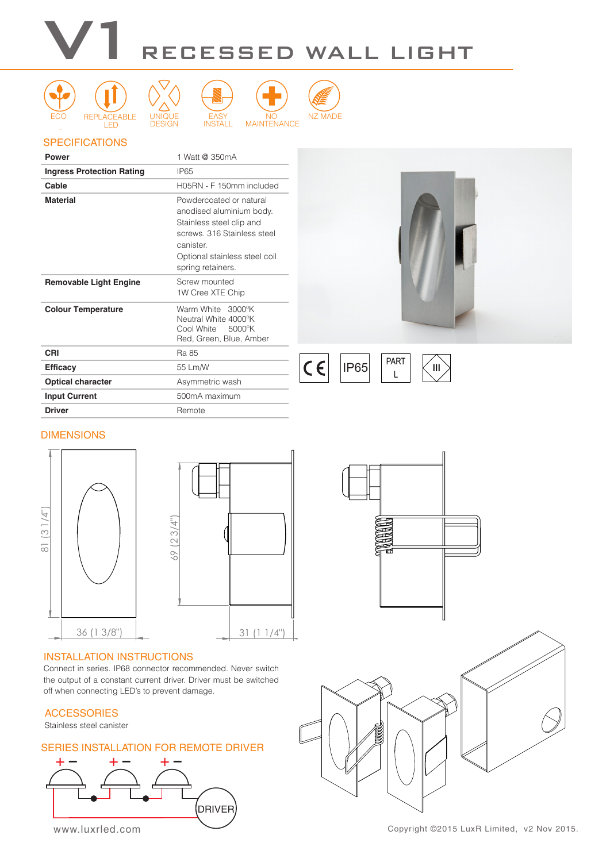#### ELECTRONICS WARRANTY **5yr** ECO WARRANTY nummmmmmmm v LED <u>Design</u> INSTALL MAINTENANCE V1 REGESSED WALL LIGHT









## **SPECIFICATIONS**

| Power                            | 1 Watt @ 350mA                                                                                                                                                                   |
|----------------------------------|----------------------------------------------------------------------------------------------------------------------------------------------------------------------------------|
| <b>Ingress Protection Rating</b> | <b>IP65</b>                                                                                                                                                                      |
| Cable                            | H05RN - F 150mm included                                                                                                                                                         |
| <b>Material</b>                  | Powdercoated or natural<br>anodised aluminium body.<br>Stainless steel clip and<br>screws, 316 Stainless steel<br>canister<br>Optional stainless steel coil<br>spring retainers. |
| <b>Removable Light Engine</b>    | Screw mounted<br>1W Cree XTE Chip                                                                                                                                                |
| <b>Colour Temperature</b>        | Warm White 3000°K<br>Neutral White 4000°K<br>Cool White<br>5000°K<br>Red, Green, Blue, Amber                                                                                     |
| CRI                              | Ra 85                                                                                                                                                                            |
| <b>Efficacy</b>                  | 55 Lm/W                                                                                                                                                                          |
| <b>Optical character</b>         | Asymmetric wash                                                                                                                                                                  |
| <b>Input Current</b>             | 500mA maximum                                                                                                                                                                    |
| <b>Driver</b>                    | Remote                                                                                                                                                                           |
|                                  |                                                                                                                                                                                  |



 $C \in$  $IP65$   $\begin{bmatrix} 1 \ 1 \end{bmatrix}$ 



### DIMENSIONS



#### INSTALLATION INSTRUCTIONS

Connect in series. IP68 connector recommended. Never switch the output of a constant current driver. Driver must be switched off when connecting LED's to prevent damage.

#### **ACCESSORIES**

Stainless steel canister

#### SERIES INSTALLATION FOR REMOTE DRIVER